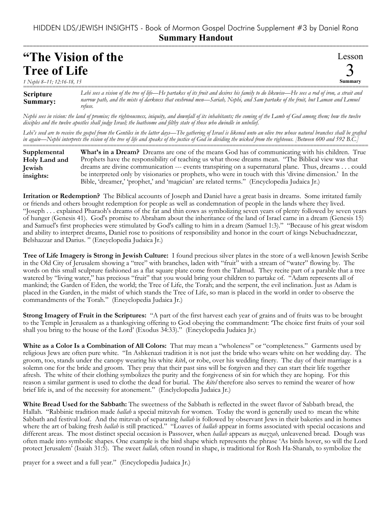## =========================================================================================================== **"The Vision of the Tree of Life**

*1 Nephi 8–11; 12:16-18, 15*

Lesson 3 **Summary**

**Scripture Summary:** =========================================================================================================== *Lehi sees a vision of the tree of life—He partakes of its fruit and desires his family to do likewise—He sees a rod of iron, a strait and narrow path, and the mists of darkness that enshroud men—Sariah, Nephi, and Sam partake of the fruit, but Laman and Lemuel refuse.*

*Nephi sees in vision: the land of promise; the righteousness, iniquity, and downfall of its inhabitants; the coming of the Lamb of God among them; how the twelve disciples and the twelve apostles shall judge Israel; the loathsome and filthy state of those who dwindle in unbelief.*

*Lehi's seed are to receive the gospel from the Gentiles in the latter days—The gathering of Israel is likened unto an olive tree whose natural branches shall be grafted in again—Nephi interprets the vision of the tree of life and speaks of the justice of God in dividing the wicked from the righteous. [Between 600 and 592 B.C.]*

=========================================================================================================== **What's in a Dream?** Dreams are one of the means God has of communicating with his children. True Prophets have the responsibility of teaching us what those dreams mean. "The Biblical view was that dreams are divine communication --- events transpiring on a supernatural plane. Thus, dreams . . . could be interpreted only by visionaries or prophets, who were in touch with this 'divine dimension.' In the Bible, 'dreamer,' 'prophet,' and 'magician' are related terms." (Encyclopedia Judaica Jr.) **Supplemental Holy Land and Jewish insights:**

**Irritation or Redemption?** The Biblical accounts of Joseph and Daniel have a great basis in dreams. Some irritated family or friends and others brought redemption for people as well as condemnation of people in the lands where they lived. "Joseph . . . explained Pharaoh's dreams of the fat and thin cows as symbolizing seven years of plenty followed by seven years of hunger (Genesis 41). God's promise to Abraham about the inheritance of the land of Israel came in a dream (Genesis 15) and Samuel's first prophecies were stimulated by God's calling to him in a dream (Samuel 1:3)." "Because of his great wisdom and ability to interpret dreams, Daniel rose to positions of responsibility and honor in the court of kings Nebuchadnezzar, Belshazzar and Darius. " (Encyclopedia Judaica Jr.)

**Tree of Life Imagery is Strong in Jewish Culture:** I found precious silver plates in the store of a well-known Jewish Scribe in the Old City of Jerusalem showing a "tree" with branches, laden with "fruit" with a stream of "water" flowing by. The words on this small sculpture fashioned as a flat square plate come from the Talmud. They recite part of a parable that a tree watered by "living water," has precious "fruit" that you would bring your children to partake of. "Adam represents all of mankind; the Garden of Eden, the world; the Tree of Life, the Torah; and the serpent, the evil inclination. Just as Adam is placed in the Garden, in the midst of which stands the Tree of Life, so man is placed in the world in order to observe the commandments of the Torah." (Encyclopedia Judaica Jr.)

**Strong Imagery of Fruit in the Scriptures:** "A part of the first harvest each year of grains and of fruits was to be brought to the Temple in Jerusalem as a thanksgiving offering to God obeying the commandment: 'The choice first fruits of your soil shall you bring to the house of the Lord' (Exodus 34:33)." (Encyclopedia Judaica Jr.)

**White as a Color Is a Combination of All Colors:** That may mean a "wholeness" or "completeness." Garments used by religious Jews are often pure white. "In Ashkenazi tradition it is not just the bride who wears white on her wedding day. The groom, too, stands under the canopy wearing his white *kite*l, or robe, over his wedding finery. The day of their marriage is a solemn one for the bride and groom. They pray that their past sins will be forgiven and they can start their life together afresh. The white of their clothing symbolizes the purity and the forgiveness of sin for which they are hoping. For this reason a similar garment is used to clothe the dead for burial. The *kitel* therefore also serves to remind the wearer of how brief life is, and of the necessity for atonement." (Enclyclopedia Judaica Jr.)

**White Bread Used for the Sabbath:** The sweetness of the Sabbath is reflected in the sweet flavor of Sabbath bread, the Hallah. "Rabbinic tradition made *hallah* a special mitzvah for women. Today the word is generally used to mean the white Sabbath and festival loaf. And the mitzvah of separating *hallah* is followed by observant Jews in their bakeries and in homes where the art of baking fresh *hallah* is still practiced." "Loaves of *hallah* appear in forms associated with special occasions and different areas. The most distinct special occasion is Passover, when *hallah* appears as *mazzah,* unleavened bread. Dough was often made into symbolic shapes. One example is the bird shape which represents the phrase 'As birds hover, so will the Lord protect Jerusalem' (Isaiah 31:5). The sweet *hallah,* often round in shape, is traditional for Rosh Ha-Shanah, to symbolize the

prayer for a sweet and a full year." (Encyclopedia Judaica Jr.)